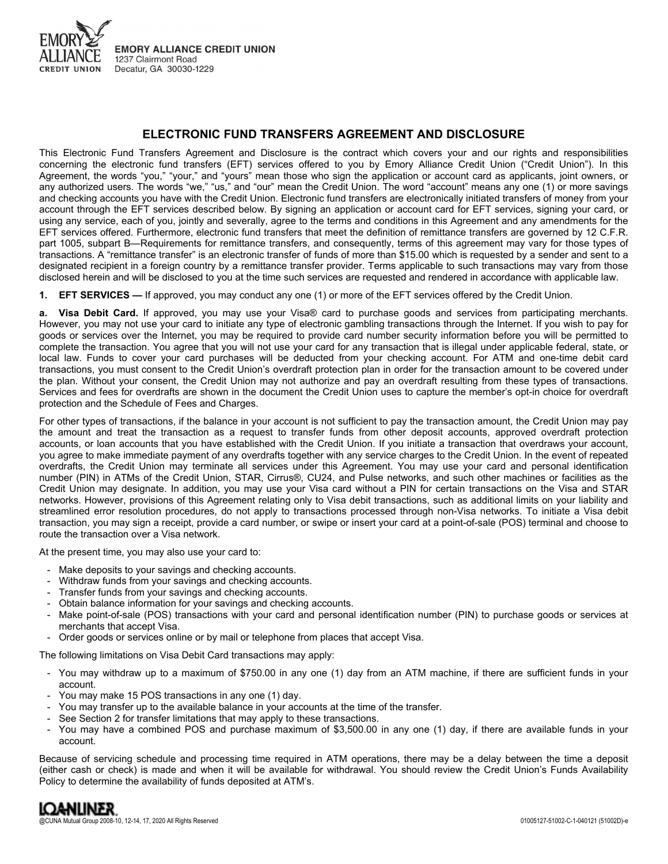

# **ELECTRONIC FUND TRANSFERS AGREEMENT AND DISCLOSURE**

This Electronic Fund Transfers Agreement and Disclosure is the contract which covers your and our rights and responsibilities concerning the electronic fund transfers (EFT) services offered to you by Emory Alliance Credit Union ("Credit Union"). In this Agreement, the words "you," "your," and "yours" mean those who sign the application or account card as applicants, joint owners, or any authorized users. The words "we," "us," and "our" mean the Credit Union. The word "account" means any one (1) or more savings and checking accounts you have with the Credit Union. Electronic fund transfers are electronically initiated transfers of money from your account through the EFT services described below. By signing an application or account card for EFT services, signing your card, or using any service, each of you, jointly and severally, agree to the terms and conditions in this Agreement and any amendments for the EFT services offered. Furthermore, electronic fund transfers that meet the definition of remittance transfers are governed by 12 C.F.R. part 1005, subpart B—Requirements for remittance transfers, and consequently, terms of this agreement may vary for those types of transactions. A "remittance transfer" is an electronic transfer of funds of more than \$15.00 which is requested by a sender and sent to a designated recipient in a foreign country by a remittance transfer provider. Terms applicable to such transactions may vary from those disclosed herein and will be disclosed to you at the time such services are requested and rendered in accordance with applicable law.

**1. EFT SERVICES —** If approved, you may conduct any one (1) or more of the EFT services offered by the Credit Union.

**a. Visa Debit Card.** If approved, you may use your Visa® card to purchase goods and services from participating merchants. However, you may not use your card to initiate any type of electronic gambling transactions through the Internet. If you wish to pay for goods or services over the Internet, you may be required to provide card number security information before you will be permitted to complete the transaction. You agree that you will not use your card for any transaction that is illegal under applicable federal, state, or local law. Funds to cover your card purchases will be deducted from your checking account. For ATM and one-time debit card transactions, you must consent to the Credit Union's overdraft protection plan in order for the transaction amount to be covered under the plan. Without your consent, the Credit Union may not authorize and pay an overdraft resulting from these types of transactions. Services and fees for overdrafts are shown in the document the Credit Union uses to capture the member's opt-in choice for overdraft protection and the Schedule of Fees and Charges.

For other types of transactions, if the balance in your account is not sufficient to pay the transaction amount, the Credit Union may pay the amount and treat the transaction as a request to transfer funds from other deposit accounts, approved overdraft protection accounts, or loan accounts that you have established with the Credit Union. If you initiate a transaction that overdraws your account, you agree to make immediate payment of any overdrafts together with any service charges to the Credit Union. In the event of repeated overdrafts, the Credit Union may terminate all services under this Agreement. You may use your card and personal identification number (PIN) in ATMs of the Credit Union, STAR, Cirrus®, CU24, and Pulse networks, and such other machines or facilities as the Credit Union may designate. In addition, you may use your Visa card without a PIN for certain transactions on the Visa and STAR networks. However, provisions of this Agreement relating only to Visa debit transactions, such as additional limits on your liability and streamlined error resolution procedures, do not apply to transactions processed through non-Visa networks. To initiate a Visa debit transaction, you may sign a receipt, provide a card number, or swipe or insert your card at a point-of-sale (POS) terminal and choose to route the transaction over a Visa network.

At the present time, you may also use your card to:

- Make deposits to your savings and checking accounts.
- Withdraw funds from your savings and checking accounts.
- Transfer funds from your savings and checking accounts.
- Obtain balance information for your savings and checking accounts.
- Make point-of-sale (POS) transactions with your card and personal identification number (PIN) to purchase goods or services at merchants that accept Visa.
- Order goods or services online or by mail or telephone from places that accept Visa.

The following limitations on Visa Debit Card transactions may apply:

- You may withdraw up to a maximum of \$750.00 in any one (1) day from an ATM machine, if there are sufficient funds in your account.
- You may make 15 POS transactions in any one (1) day.
- You may transfer up to the available balance in your accounts at the time of the transfer.
- See Section 2 for transfer limitations that may apply to these transactions.
- You may have a combined POS and purchase maximum of \$3,500.00 in any one (1) day, if there are available funds in your account.

Because of servicing schedule and processing time required in ATM operations, there may be a delay between the time a deposit (either cash or check) is made and when it will be available for withdrawal. You should review the Credit Union's Funds Availability Policy to determine the availability of funds deposited at ATM's.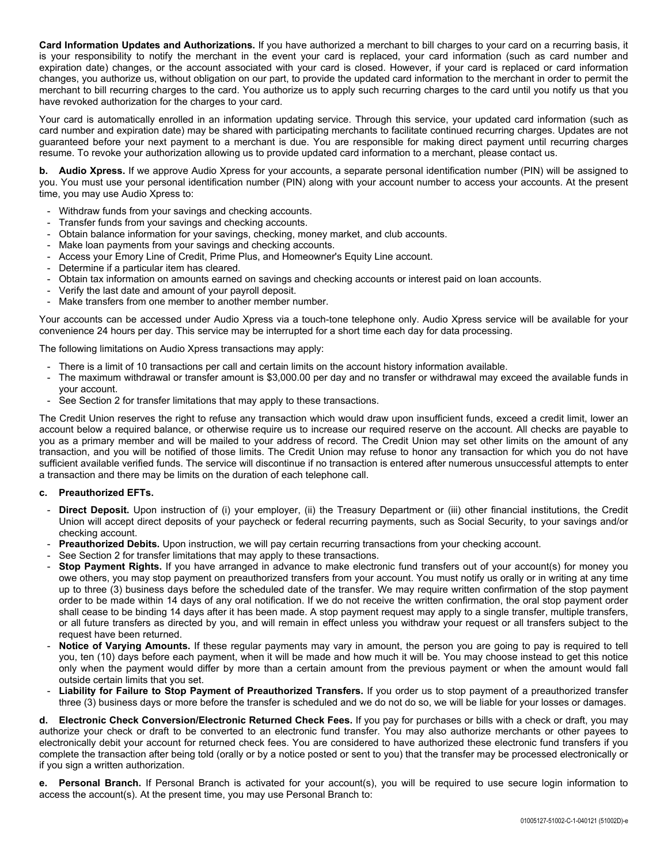**Card Information Updates and Authorizations.** If you have authorized a merchant to bill charges to your card on a recurring basis, it is your responsibility to notify the merchant in the event your card is replaced, your card information (such as card number and expiration date) changes, or the account associated with your card is closed. However, if your card is replaced or card information changes, you authorize us, without obligation on our part, to provide the updated card information to the merchant in order to permit the merchant to bill recurring charges to the card. You authorize us to apply such recurring charges to the card until you notify us that you have revoked authorization for the charges to your card.

Your card is automatically enrolled in an information updating service. Through this service, your updated card information (such as card number and expiration date) may be shared with participating merchants to facilitate continued recurring charges. Updates are not guaranteed before your next payment to a merchant is due. You are responsible for making direct payment until recurring charges resume. To revoke your authorization allowing us to provide updated card information to a merchant, please contact us.

**b. Audio Xpress.** If we approve Audio Xpress for your accounts, a separate personal identification number (PIN) will be assigned to you. You must use your personal identification number (PIN) along with your account number to access your accounts. At the present time, you may use Audio Xpress to:

- Withdraw funds from your savings and checking accounts.
- Transfer funds from your savings and checking accounts.
- Obtain balance information for your savings, checking, money market, and club accounts.
- Make loan payments from your savings and checking accounts.
- Access your Emory Line of Credit, Prime Plus, and Homeowner's Equity Line account.
- Determine if a particular item has cleared.
- Obtain tax information on amounts earned on savings and checking accounts or interest paid on loan accounts.
- Verify the last date and amount of your payroll deposit.
- Make transfers from one member to another member number.

Your accounts can be accessed under Audio Xpress via a touch-tone telephone only. Audio Xpress service will be available for your convenience 24 hours per day. This service may be interrupted for a short time each day for data processing.

The following limitations on Audio Xpress transactions may apply:

- There is a limit of 10 transactions per call and certain limits on the account history information available.
- The maximum withdrawal or transfer amount is \$3,000.00 per day and no transfer or withdrawal may exceed the available funds in your account.
- See Section 2 for transfer limitations that may apply to these transactions.

The Credit Union reserves the right to refuse any transaction which would draw upon insufficient funds, exceed a credit limit, lower an account below a required balance, or otherwise require us to increase our required reserve on the account. All checks are payable to you as a primary member and will be mailed to your address of record. The Credit Union may set other limits on the amount of any transaction, and you will be notified of those limits. The Credit Union may refuse to honor any transaction for which you do not have sufficient available verified funds. The service will discontinue if no transaction is entered after numerous unsuccessful attempts to enter a transaction and there may be limits on the duration of each telephone call.

# **c. Preauthorized EFTs.**

- **Direct Deposit.** Upon instruction of (i) your employer, (ii) the Treasury Department or (iii) other financial institutions, the Credit Union will accept direct deposits of your paycheck or federal recurring payments, such as Social Security, to your savings and/or checking account.
- **Preauthorized Debits.** Upon instruction, we will pay certain recurring transactions from your checking account.
- See Section 2 for transfer limitations that may apply to these transactions.
- **Stop Payment Rights.** If you have arranged in advance to make electronic fund transfers out of your account(s) for money you owe others, you may stop payment on preauthorized transfers from your account. You must notify us orally or in writing at any time up to three (3) business days before the scheduled date of the transfer. We may require written confirmation of the stop payment order to be made within 14 days of any oral notification. If we do not receive the written confirmation, the oral stop payment order shall cease to be binding 14 days after it has been made. A stop payment request may apply to a single transfer, multiple transfers, or all future transfers as directed by you, and will remain in effect unless you withdraw your request or all transfers subject to the request have been returned.
- Notice of Varying Amounts. If these regular payments may vary in amount, the person you are going to pay is required to tell you, ten (10) days before each payment, when it will be made and how much it will be. You may choose instead to get this notice only when the payment would differ by more than a certain amount from the previous payment or when the amount would fall outside certain limits that you set.
- **Liability for Failure to Stop Payment of Preauthorized Transfers.** If you order us to stop payment of a preauthorized transfer three (3) business days or more before the transfer is scheduled and we do not do so, we will be liable for your losses or damages.

**d. Electronic Check Conversion/Electronic Returned Check Fees.** If you pay for purchases or bills with a check or draft, you may authorize your check or draft to be converted to an electronic fund transfer. You may also authorize merchants or other payees to electronically debit your account for returned check fees. You are considered to have authorized these electronic fund transfers if you complete the transaction after being told (orally or by a notice posted or sent to you) that the transfer may be processed electronically or if you sign a written authorization.

**e. Personal Branch.** If Personal Branch is activated for your account(s), you will be required to use secure login information to access the account(s). At the present time, you may use Personal Branch to: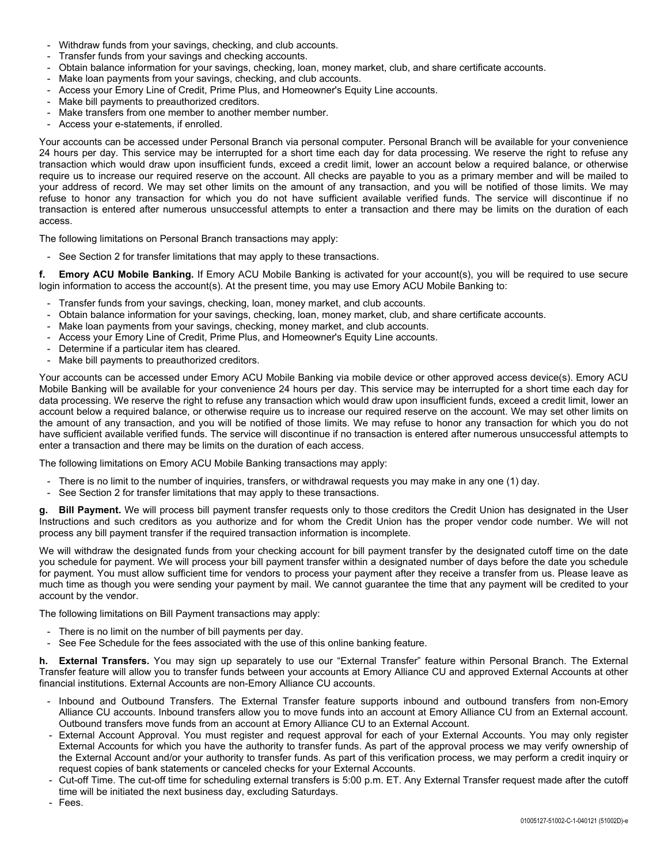- Withdraw funds from your savings, checking, and club accounts.
- Transfer funds from your savings and checking accounts.
- Obtain balance information for your savings, checking, loan, money market, club, and share certificate accounts.
- Make loan payments from your savings, checking, and club accounts.
- Access your Emory Line of Credit, Prime Plus, and Homeowner's Equity Line accounts.
- Make bill payments to preauthorized creditors.
- Make transfers from one member to another member number.
- Access your e-statements, if enrolled.

Your accounts can be accessed under Personal Branch via personal computer. Personal Branch will be available for your convenience 24 hours per day. This service may be interrupted for a short time each day for data processing. We reserve the right to refuse any transaction which would draw upon insufficient funds, exceed a credit limit, lower an account below a required balance, or otherwise require us to increase our required reserve on the account. All checks are payable to you as a primary member and will be mailed to your address of record. We may set other limits on the amount of any transaction, and you will be notified of those limits. We may refuse to honor any transaction for which you do not have sufficient available verified funds. The service will discontinue if no transaction is entered after numerous unsuccessful attempts to enter a transaction and there may be limits on the duration of each access.

The following limitations on Personal Branch transactions may apply:

- See Section 2 for transfer limitations that may apply to these transactions.

**f. Emory ACU Mobile Banking.** If Emory ACU Mobile Banking is activated for your account(s), you will be required to use secure login information to access the account(s). At the present time, you may use Emory ACU Mobile Banking to:

- Transfer funds from your savings, checking, loan, money market, and club accounts.
- Obtain balance information for your savings, checking, loan, money market, club, and share certificate accounts.
- Make loan payments from your savings, checking, money market, and club accounts.
- Access your Emory Line of Credit, Prime Plus, and Homeowner's Equity Line accounts.
- Determine if a particular item has cleared.
- Make bill payments to preauthorized creditors.

Your accounts can be accessed under Emory ACU Mobile Banking via mobile device or other approved access device(s). Emory ACU Mobile Banking will be available for your convenience 24 hours per day. This service may be interrupted for a short time each day for data processing. We reserve the right to refuse any transaction which would draw upon insufficient funds, exceed a credit limit, lower an account below a required balance, or otherwise require us to increase our required reserve on the account. We may set other limits on the amount of any transaction, and you will be notified of those limits. We may refuse to honor any transaction for which you do not have sufficient available verified funds. The service will discontinue if no transaction is entered after numerous unsuccessful attempts to enter a transaction and there may be limits on the duration of each access.

The following limitations on Emory ACU Mobile Banking transactions may apply:

- There is no limit to the number of inquiries, transfers, or withdrawal requests you may make in any one (1) day.
- See Section 2 for transfer limitations that may apply to these transactions.

**g. Bill Payment.** We will process bill payment transfer requests only to those creditors the Credit Union has designated in the User Instructions and such creditors as you authorize and for whom the Credit Union has the proper vendor code number. We will not process any bill payment transfer if the required transaction information is incomplete.

We will withdraw the designated funds from your checking account for bill payment transfer by the designated cutoff time on the date you schedule for payment. We will process your bill payment transfer within a designated number of days before the date you schedule for payment. You must allow sufficient time for vendors to process your payment after they receive a transfer from us. Please leave as much time as though you were sending your payment by mail. We cannot guarantee the time that any payment will be credited to your account by the vendor.

The following limitations on Bill Payment transactions may apply:

- There is no limit on the number of bill payments per day.
- See Fee Schedule for the fees associated with the use of this online banking feature.

**h. External Transfers.** You may sign up separately to use our "External Transfer" feature within Personal Branch. The External Transfer feature will allow you to transfer funds between your accounts at Emory Alliance CU and approved External Accounts at other financial institutions. External Accounts are non-Emory Alliance CU accounts.

- Inbound and Outbound Transfers. The External Transfer feature supports inbound and outbound transfers from non-Emory Alliance CU accounts. Inbound transfers allow you to move funds into an account at Emory Alliance CU from an External account. Outbound transfers move funds from an account at Emory Alliance CU to an External Account.
- External Account Approval. You must register and request approval for each of your External Accounts. You may only register External Accounts for which you have the authority to transfer funds. As part of the approval process we may verify ownership of the External Account and/or your authority to transfer funds. As part of this verification process, we may perform a credit inquiry or request copies of bank statements or canceled checks for your External Accounts.
- Cut-off Time. The cut-off time for scheduling external transfers is 5:00 p.m. ET. Any External Transfer request made after the cutoff time will be initiated the next business day, excluding Saturdays.
- Fees.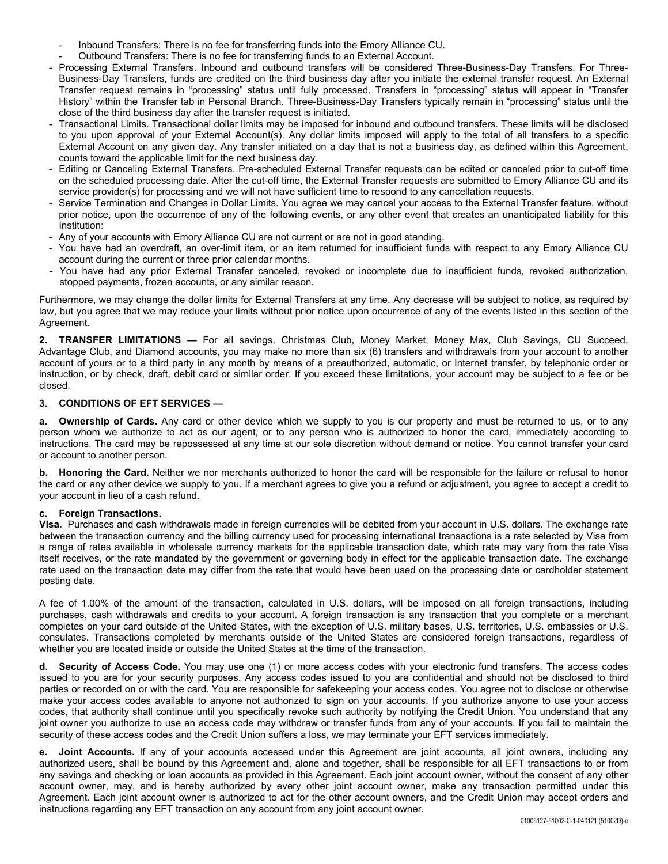- Inbound Transfers: There is no fee for transferring funds into the Emory Alliance CU.
- Outbound Transfers: There is no fee for transferring funds to an External Account.
- Processing External Transfers. Inbound and outbound transfers will be considered Three-Business-Day Transfers. For Three-Business-Day Transfers, funds are credited on the third business day after you initiate the external transfer request. An External Transfer request remains in "processing" status until fully processed. Transfers in "processing" status will appear in "Transfer History" within the Transfer tab in Personal Branch. Three-Business-Day Transfers typically remain in "processing" status until the close of the third business day after the transfer request is initiated.
- Transactional Limits. Transactional dollar limits may be imposed for inbound and outbound transfers. These limits will be disclosed to you upon approval of your External Account(s). Any dollar limits imposed will apply to the total of all transfers to a specific External Account on any given day. Any transfer initiated on a day that is not a business day, as defined within this Agreement, counts toward the applicable limit for the next business day.
- Editing or Canceling External Transfers. Pre-scheduled External Transfer requests can be edited or canceled prior to cut-off time on the scheduled processing date. After the cut-off time, the External Transfer requests are submitted to Emory Alliance CU and its service provider(s) for processing and we will not have sufficient time to respond to any cancellation requests.
- Service Termination and Changes in Dollar Limits. You agree we may cancel your access to the External Transfer feature, without prior notice, upon the occurrence of any of the following events, or any other event that creates an unanticipated liability for this Institution:
- Any of your accounts with Emory Alliance CU are not current or are not in good standing.
- You have had an overdraft, an over-limit item, or an item returned for insufficient funds with respect to any Emory Alliance CU account during the current or three prior calendar months.
- You have had any prior External Transfer canceled, revoked or incomplete due to insufficient funds, revoked authorization, stopped payments, frozen accounts, or any similar reason.

Furthermore, we may change the dollar limits for External Transfers at any time. Any decrease will be subject to notice, as required by law, but you agree that we may reduce your limits without prior notice upon occurrence of any of the events listed in this section of the Agreement.

**2. TRANSFER LIMITATIONS —** For all savings, Christmas Club, Money Market, Money Max, Club Savings, CU Succeed, Advantage Club, and Diamond accounts, you may make no more than six (6) transfers and withdrawals from your account to another account of yours or to a third party in any month by means of a preauthorized, automatic, or Internet transfer, by telephonic order or instruction, or by check, draft, debit card or similar order. If you exceed these limitations, your account may be subject to a fee or be closed.

### **3. CONDITIONS OF EFT SERVICES —**

**a. Ownership of Cards.** Any card or other device which we supply to you is our property and must be returned to us, or to any person whom we authorize to act as our agent, or to any person who is authorized to honor the card, immediately according to instructions. The card may be repossessed at any time at our sole discretion without demand or notice. You cannot transfer your card or account to another person.

**b. Honoring the Card.** Neither we nor merchants authorized to honor the card will be responsible for the failure or refusal to honor the card or any other device we supply to you. If a merchant agrees to give you a refund or adjustment, you agree to accept a credit to your account in lieu of a cash refund.

# **c. Foreign Transactions.**

**Visa.** Purchases and cash withdrawals made in foreign currencies will be debited from your account in U.S. dollars. The exchange rate between the transaction currency and the billing currency used for processing international transactions is a rate selected by Visa from a range of rates available in wholesale currency markets for the applicable transaction date, which rate may vary from the rate Visa itself receives, or the rate mandated by the government or governing body in effect for the applicable transaction date. The exchange rate used on the transaction date may differ from the rate that would have been used on the processing date or cardholder statement posting date.

A fee of 1.00% of the amount of the transaction, calculated in U.S. dollars, will be imposed on all foreign transactions, including purchases, cash withdrawals and credits to your account. A foreign transaction is any transaction that you complete or a merchant completes on your card outside of the United States, with the exception of U.S. military bases, U.S. territories, U.S. embassies or U.S. consulates. Transactions completed by merchants outside of the United States are considered foreign transactions, regardless of whether you are located inside or outside the United States at the time of the transaction.

**d. Security of Access Code.** You may use one (1) or more access codes with your electronic fund transfers. The access codes issued to you are for your security purposes. Any access codes issued to you are confidential and should not be disclosed to third parties or recorded on or with the card. You are responsible for safekeeping your access codes. You agree not to disclose or otherwise make your access codes available to anyone not authorized to sign on your accounts. If you authorize anyone to use your access codes, that authority shall continue until you specifically revoke such authority by notifying the Credit Union. You understand that any joint owner you authorize to use an access code may withdraw or transfer funds from any of your accounts. If you fail to maintain the security of these access codes and the Credit Union suffers a loss, we may terminate your EFT services immediately.

**e. Joint Accounts.** If any of your accounts accessed under this Agreement are joint accounts, all joint owners, including any authorized users, shall be bound by this Agreement and, alone and together, shall be responsible for all EFT transactions to or from any savings and checking or loan accounts as provided in this Agreement. Each joint account owner, without the consent of any other account owner, may, and is hereby authorized by every other joint account owner, make any transaction permitted under this Agreement. Each joint account owner is authorized to act for the other account owners, and the Credit Union may accept orders and instructions regarding any EFT transaction on any account from any joint account owner.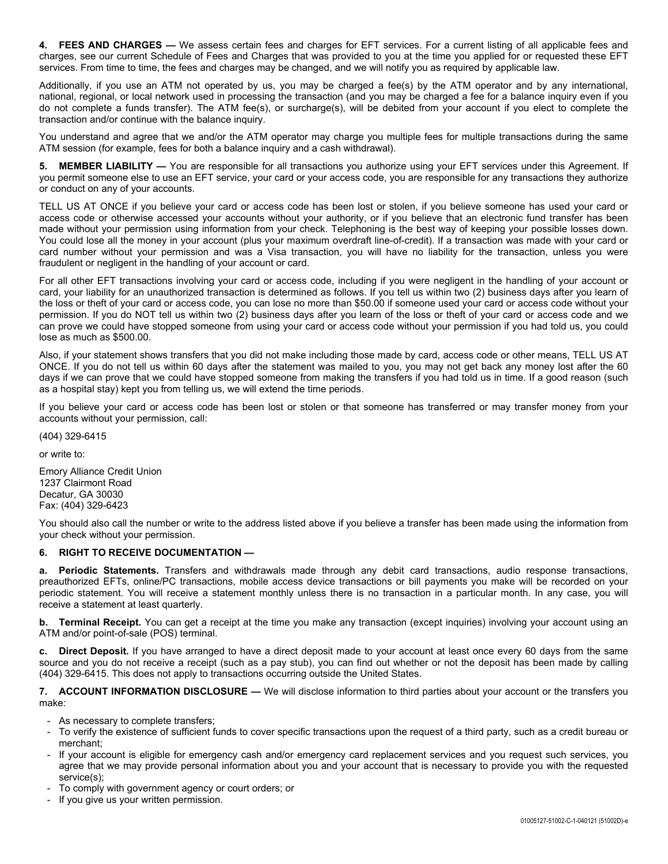**4. FEES AND CHARGES —** We assess certain fees and charges for EFT services. For a current listing of all applicable fees and charges, see our current Schedule of Fees and Charges that was provided to you at the time you applied for or requested these EFT services. From time to time, the fees and charges may be changed, and we will notify you as required by applicable law.

Additionally, if you use an ATM not operated by us, you may be charged a fee(s) by the ATM operator and by any international, national, regional, or local network used in processing the transaction (and you may be charged a fee for a balance inquiry even if you do not complete a funds transfer). The ATM fee(s), or surcharge(s), will be debited from your account if you elect to complete the transaction and/or continue with the balance inquiry.

You understand and agree that we and/or the ATM operator may charge you multiple fees for multiple transactions during the same ATM session (for example, fees for both a balance inquiry and a cash withdrawal).

**5. MEMBER LIABILITY —** You are responsible for all transactions you authorize using your EFT services under this Agreement. If you permit someone else to use an EFT service, your card or your access code, you are responsible for any transactions they authorize or conduct on any of your accounts.

TELL US AT ONCE if you believe your card or access code has been lost or stolen, if you believe someone has used your card or access code or otherwise accessed your accounts without your authority, or if you believe that an electronic fund transfer has been made without your permission using information from your check. Telephoning is the best way of keeping your possible losses down. You could lose all the money in your account (plus your maximum overdraft line-of-credit). If a transaction was made with your card or card number without your permission and was a Visa transaction, you will have no liability for the transaction, unless you were fraudulent or negligent in the handling of your account or card.

For all other EFT transactions involving your card or access code, including if you were negligent in the handling of your account or card, your liability for an unauthorized transaction is determined as follows. If you tell us within two (2) business days after you learn of the loss or theft of your card or access code, you can lose no more than \$50.00 if someone used your card or access code without your permission. If you do NOT tell us within two (2) business days after you learn of the loss or theft of your card or access code and we can prove we could have stopped someone from using your card or access code without your permission if you had told us, you could lose as much as \$500.00.

Also, if your statement shows transfers that you did not make including those made by card, access code or other means, TELL US AT ONCE. If you do not tell us within 60 days after the statement was mailed to you, you may not get back any money lost after the 60 days if we can prove that we could have stopped someone from making the transfers if you had told us in time. If a good reason (such as a hospital stay) kept you from telling us, we will extend the time periods.

If you believe your card or access code has been lost or stolen or that someone has transferred or may transfer money from your accounts without your permission, call:

(404) 329-6415

or write to:

Emory Alliance Credit Union 1237 Clairmont Road Decatur, GA 30030 Fax: (404) 329-6423

You should also call the number or write to the address listed above if you believe a transfer has been made using the information from your check without your permission.

# **6. RIGHT TO RECEIVE DOCUMENTATION —**

**a. Periodic Statements.** Transfers and withdrawals made through any debit card transactions, audio response transactions, preauthorized EFTs, online/PC transactions, mobile access device transactions or bill payments you make will be recorded on your periodic statement. You will receive a statement monthly unless there is no transaction in a particular month. In any case, you will receive a statement at least quarterly.

**b. Terminal Receipt.** You can get a receipt at the time you make any transaction (except inquiries) involving your account using an ATM and/or point-of-sale (POS) terminal.

**c. Direct Deposit.** If you have arranged to have a direct deposit made to your account at least once every 60 days from the same source and you do not receive a receipt (such as a pay stub), you can find out whether or not the deposit has been made by calling (404) 329-6415. This does not apply to transactions occurring outside the United States.

**7. ACCOUNT INFORMATION DISCLOSURE —** We will disclose information to third parties about your account or the transfers you make:

- As necessary to complete transfers;
- To verify the existence of sufficient funds to cover specific transactions upon the request of a third party, such as a credit bureau or merchant;
- If your account is eligible for emergency cash and/or emergency card replacement services and you request such services, you agree that we may provide personal information about you and your account that is necessary to provide you with the requested service(s);
- To comply with government agency or court orders; or
- If you give us your written permission.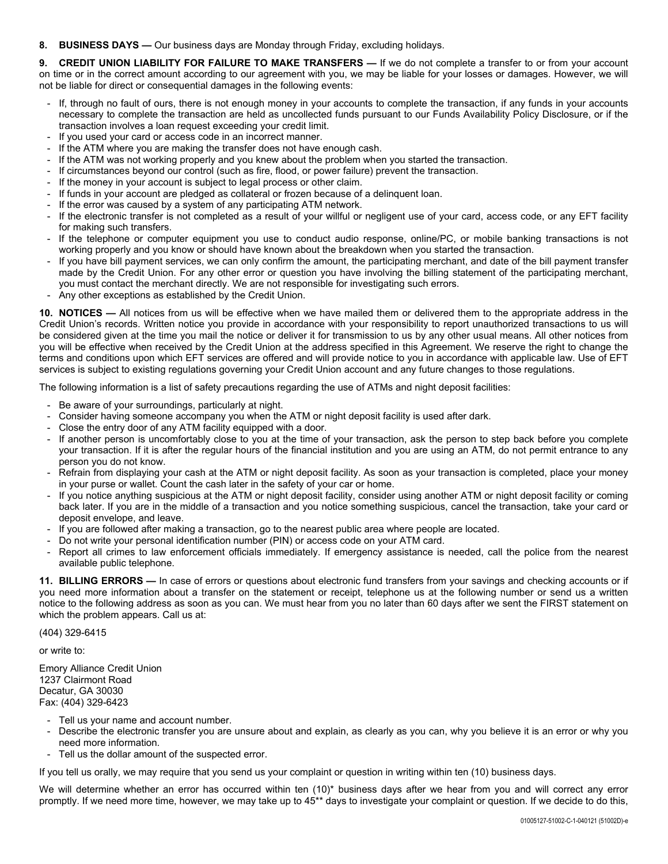**8. BUSINESS DAYS —** Our business days are Monday through Friday, excluding holidays.

**9. CREDIT UNION LIABILITY FOR FAILURE TO MAKE TRANSFERS —** If we do not complete a transfer to or from your account on time or in the correct amount according to our agreement with you, we may be liable for your losses or damages. However, we will not be liable for direct or consequential damages in the following events:

- If, through no fault of ours, there is not enough money in your accounts to complete the transaction, if any funds in your accounts necessary to complete the transaction are held as uncollected funds pursuant to our Funds Availability Policy Disclosure, or if the transaction involves a loan request exceeding your credit limit.
- If you used your card or access code in an incorrect manner.
- If the ATM where you are making the transfer does not have enough cash.
- If the ATM was not working properly and you knew about the problem when you started the transaction.
- If circumstances beyond our control (such as fire, flood, or power failure) prevent the transaction.
- If the money in your account is subject to legal process or other claim.
- If funds in your account are pledged as collateral or frozen because of a delinquent loan.
- If the error was caused by a system of any participating ATM network.
- If the electronic transfer is not completed as a result of your willful or negligent use of your card, access code, or any EFT facility for making such transfers.
- If the telephone or computer equipment you use to conduct audio response, online/PC, or mobile banking transactions is not working properly and you know or should have known about the breakdown when you started the transaction.
- If you have bill payment services, we can only confirm the amount, the participating merchant, and date of the bill payment transfer made by the Credit Union. For any other error or question you have involving the billing statement of the participating merchant, you must contact the merchant directly. We are not responsible for investigating such errors.
- Any other exceptions as established by the Credit Union.

**10. NOTICES —** All notices from us will be effective when we have mailed them or delivered them to the appropriate address in the Credit Union's records. Written notice you provide in accordance with your responsibility to report unauthorized transactions to us will be considered given at the time you mail the notice or deliver it for transmission to us by any other usual means. All other notices from you will be effective when received by the Credit Union at the address specified in this Agreement. We reserve the right to change the terms and conditions upon which EFT services are offered and will provide notice to you in accordance with applicable law. Use of EFT services is subject to existing regulations governing your Credit Union account and any future changes to those regulations.

The following information is a list of safety precautions regarding the use of ATMs and night deposit facilities:

- Be aware of your surroundings, particularly at night.
- Consider having someone accompany you when the ATM or night deposit facility is used after dark.
- Close the entry door of any ATM facility equipped with a door.
- If another person is uncomfortably close to you at the time of your transaction, ask the person to step back before you complete your transaction. If it is after the regular hours of the financial institution and you are using an ATM, do not permit entrance to any person you do not know.
- Refrain from displaying your cash at the ATM or night deposit facility. As soon as your transaction is completed, place your money in your purse or wallet. Count the cash later in the safety of your car or home.
- If you notice anything suspicious at the ATM or night deposit facility, consider using another ATM or night deposit facility or coming back later. If you are in the middle of a transaction and you notice something suspicious, cancel the transaction, take your card or deposit envelope, and leave.
- If you are followed after making a transaction, go to the nearest public area where people are located.
- Do not write your personal identification number (PIN) or access code on your ATM card.
- Report all crimes to law enforcement officials immediately. If emergency assistance is needed, call the police from the nearest available public telephone.

**11. BILLING ERRORS —** In case of errors or questions about electronic fund transfers from your savings and checking accounts or if you need more information about a transfer on the statement or receipt, telephone us at the following number or send us a written notice to the following address as soon as you can. We must hear from you no later than 60 days after we sent the FIRST statement on which the problem appears. Call us at:

(404) 329-6415

or write to:

Emory Alliance Credit Union 1237 Clairmont Road Decatur, GA 30030 Fax: (404) 329-6423

- Tell us your name and account number.
- Describe the electronic transfer you are unsure about and explain, as clearly as you can, why you believe it is an error or why you need more information.
- Tell us the dollar amount of the suspected error.

If you tell us orally, we may require that you send us your complaint or question in writing within ten (10) business days.

We will determine whether an error has occurred within ten (10)\* business days after we hear from you and will correct any error promptly. If we need more time, however, we may take up to 45\*\* days to investigate your complaint or question. If we decide to do this,